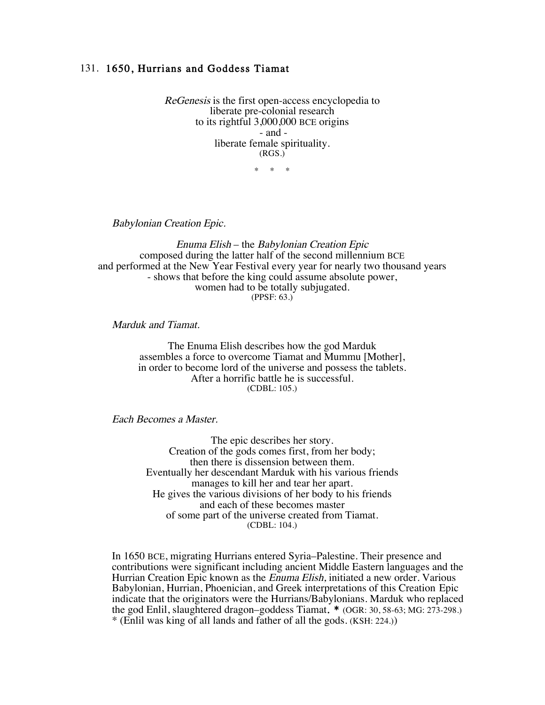## 131. 1650, Hurrians and Goddess Tiamat

ReGenesis is the first open-access encyclopedia to liberate pre-colonial research to its rightful 3,000,000 BCE origins - and liberate female spirituality. (RGS.)

\* \* \*

Babylonian Creation Epic.

Enuma Elish – the Babylonian Creation Epic composed during the latter half of the second millennium BCE and performed at the New Year Festival every year for nearly two thousand years - shows that before the king could assume absolute power, women had to be totally subjugated. (PPSF: 63.)

Marduk and Tiamat.

The Enuma Elish describes how the god Marduk assembles a force to overcome Tiamat and Mummu [Mother], in order to become lord of the universe and possess the tablets. After a horrific battle he is successful. (CDBL: 105.)

Each Becomes a Master.

The epic describes her story. Creation of the gods comes first, from her body; then there is dissension between them. Eventually her descendant Marduk with his various friends manages to kill her and tear her apart. He gives the various divisions of her body to his friends and each of these becomes master of some part of the universe created from Tiamat. (CDBL: 104.)

In 1650 BCE, migrating Hurrians entered Syria–Palestine. Their presence and contributions were significant including ancient Middle Eastern languages and the Hurrian Creation Epic known as the Enuma Elish, initiated a new order. Various Babylonian, Hurrian, Phoenician, and Greek interpretations of this Creation Epic indicate that the originators were the Hurrians/Babylonians. Marduk who replaced the god Enlil, slaughtered dragon–goddess Tiamat. \* (OGR: 30, 58-63; MG: 273-298.) \* (Enlil was king of all lands and father of all the gods. (KSH: 224.))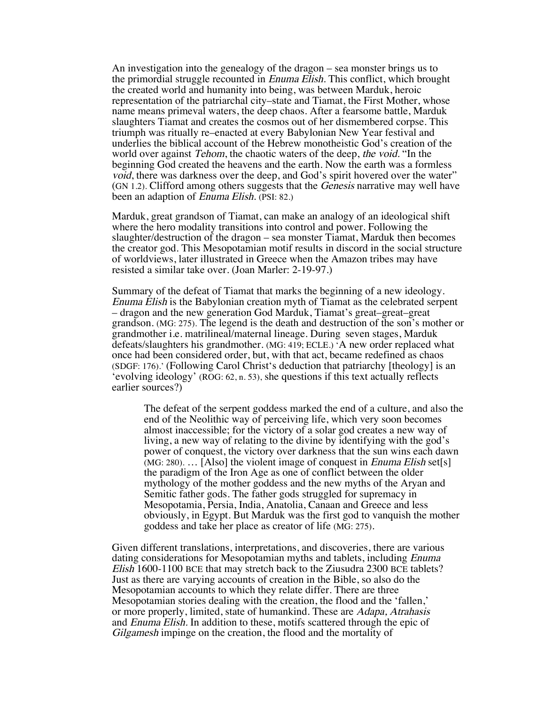An investigation into the genealogy of the dragon – sea monster brings us to the primordial struggle recounted in Enuma Elish. This conflict, which brought the created world and humanity into being, was between Marduk, heroic representation of the patriarchal city–state and Tiamat, the First Mother, whose name means primeval waters, the deep chaos. After a fearsome battle, Marduk slaughters Tiamat and creates the cosmos out of her dismembered corpse. This triumph was ritually re–enacted at every Babylonian New Year festival and underlies the biblical account of the Hebrew monotheistic God's creation of the world over against *Tehom*, the chaotic waters of the deep, the void. "In the beginning God created the heavens and the earth. Now the earth was a formless void, there was darkness over the deep, and God's spirit hovered over the water" (GN 1.2). Clifford among others suggests that the Genesis narrative may well have been an adaption of Enuma Elish. (PSI: 82.)

Marduk, great grandson of Tiamat, can make an analogy of an ideological shift where the hero modality transitions into control and power. Following the slaughter/destruction of the dragon – sea monster Tiamat, Marduk then becomes the creator god. This Mesopotamian motif results in discord in the social structure of worldviews, later illustrated in Greece when the Amazon tribes may have resisted a similar take over. (Joan Marler: 2-19-97.)

Summary of the defeat of Tiamat that marks the beginning of a new ideology. Enuma Elish is the Babylonian creation myth of Tiamat as the celebrated serpent – dragon and the new generation God Marduk, Tiamat's great–great–great grandson. (MG: 275). The legend is the death and destruction of the son's mother or grandmother i.e. matrilineal/maternal lineage. During seven stages, Marduk defeats/slaughters his grandmother. (MG: 419; ECLE.) 'A new order replaced what once had been considered order, but, with that act, became redefined as chaos (SDGF: 176).' (Following Carol Christ's deduction that patriarchy [theology] is an 'evolving ideology' (ROG: 62, n. 53), she questions if this text actually reflects earlier sources?)

The defeat of the serpent goddess marked the end of a culture, and also the end of the Neolithic way of perceiving life, which very soon becomes almost inaccessible; for the victory of a solar god creates a new way of living, a new way of relating to the divine by identifying with the god's power of conquest, the victory over darkness that the sun wins each dawn  $(MG: 280)$ .... [Also] the violent image of conquest in *Enuma Elish* set[s] the paradigm of the Iron Age as one of conflict between the older mythology of the mother goddess and the new myths of the Aryan and Semitic father gods. The father gods struggled for supremacy in Mesopotamia, Persia, India, Anatolia, Canaan and Greece and less obviously, in Egypt. But Marduk was the first god to vanquish the mother goddess and take her place as creator of life (MG: 275).

Given different translations, interpretations, and discoveries, there are various dating considerations for Mesopotamian myths and tablets, including Enuma Elish 1600-1100 BCE that may stretch back to the Ziusudra 2300 BCE tablets? Just as there are varying accounts of creation in the Bible, so also do the Mesopotamian accounts to which they relate differ. There are three Mesopotamian stories dealing with the creation, the flood and the 'fallen,' or more properly, limited, state of humankind. These are Adapa, Atrahasis and *Enuma Elish*. In addition to these, motifs scattered through the epic of Gilgamesh impinge on the creation, the flood and the mortality of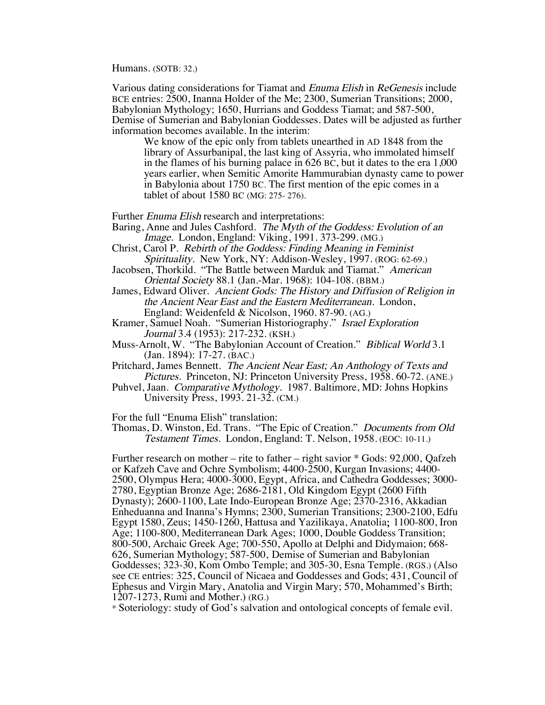Humans. (SOTB: 32.)

Various dating considerations for Tiamat and Enuma Elish in ReGenesis include BCE entries: 2500, Inanna Holder of the Me; 2300, Sumerian Transitions; 2000, Babylonian Mythology; 1650, Hurrians and Goddess Tiamat; and 587-500, Demise of Sumerian and Babylonian Goddesses. Dates will be adjusted as further information becomes available. In the interim:

We know of the epic only from tablets unearthed in AD 1848 from the library of Assurbanipal, the last king of Assyria, who immolated himself in the flames of his burning palace in 626 BC, but it dates to the era 1,000 years earlier, when Semitic Amorite Hammurabian dynasty came to power in Babylonia about 1750 BC. The first mention of the epic comes in a tablet of about 1580 BC (MG: 275- 276).

Further Enuma Elish research and interpretations:

- Baring, Anne and Jules Cashford. The Myth of the Goddess: Evolution of an Image. London, England: Viking, 1991. 373-299. (MG.)
- Christ, Carol P. Rebirth of the Goddess: Finding Meaning in Feminist Spirituality. New York, NY: Addison-Wesley, 1997. (ROG: 62-69.)
- Jacobsen, Thorkild. "The Battle between Marduk and Tiamat." American Oriental Society 88.1 (Jan.-Mar. 1968): 104-108. (BBM.)
- James, Edward Oliver. Ancient Gods: The History and Diffusion of Religion in the Ancient Near East and the Eastern Mediterranean. London, England: Weidenfeld & Nicolson, 1960. 87-90. (AG.)
- Kramer, Samuel Noah. "Sumerian Historiography." Israel Exploration Journal 3.4 (1953): 217-232. (KSH.)
- Muss-Arnolt, W. "The Babylonian Account of Creation." Biblical World 3.1 (Jan. 1894): 17-27. (BAC.)
- Pritchard, James Bennett. The Ancient Near East; An Anthology of Texts and Pictures. Princeton, NJ: Princeton University Press, 1958. 60-72. (ANE.)
- Puhvel, Jaan. Comparative Mythology. 1987. Baltimore, MD: Johns Hopkins University Press, 1993. 21-32. (CM.)

For the full "Enuma Elish" translation:

Thomas, D. Winston, Ed. Trans. "The Epic of Creation." Documents from Old Testament Times. London, England: T. Nelson, 1958. (EOC: 10-11.)

Further research on mother – rite to father – right savior \* Gods: 92,000, Qafzeh or Kafzeh Cave and Ochre Symbolism; 4400-2500, Kurgan Invasions; 4400- 2500, Olympus Hera; 4000-3000, Egypt, Africa, and Cathedra Goddesses; 3000- 2780, Egyptian Bronze Age; 2686-2181, Old Kingdom Egypt (2600 Fifth Dynasty); 2600-1100, Late Indo-European Bronze Age; 2370-2316, Akkadian Enheduanna and Inanna's Hymns; 2300, Sumerian Transitions; 2300-2100, Edfu Egypt 1580, Zeus; 1450-1260, Hattusa and Yazilikaya, Anatolia; 1100-800, Iron Age; 1100-800, Mediterranean Dark Ages; 1000, Double Goddess Transition; 800-500, Archaic Greek Age; 700-550, Apollo at Delphi and Didymaion; 668- 626, Sumerian Mythology; 587-500, Demise of Sumerian and Babylonian Goddesses; 323-30, Kom Ombo Temple; and 305-30, Esna Temple. (RGS.) (Also see CE entries: 325, Council of Nicaea and Goddesses and Gods; 431, Council of Ephesus and Virgin Mary, Anatolia and Virgin Mary; 570, Mohammed's Birth; 1207-1273, Rumi and Mother.) (RG.)

\* Soteriology: study of God's salvation and ontological concepts of female evil.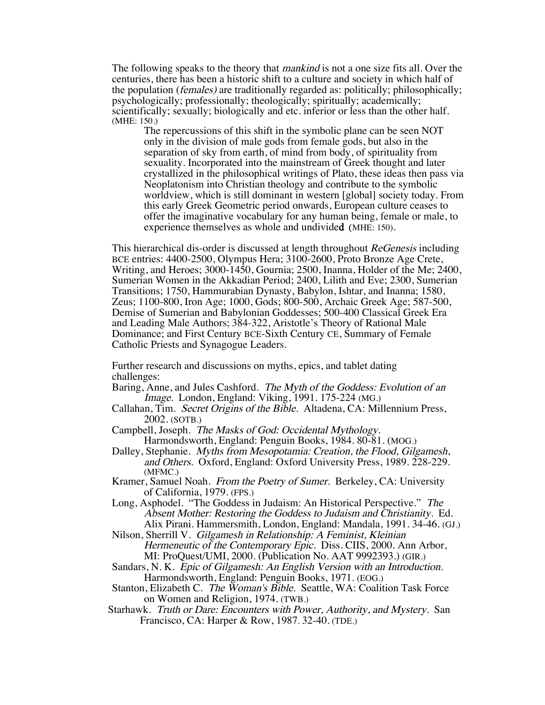The following speaks to the theory that mankind is not a one size fits all. Over the centuries, there has been a historic shift to a culture and society in which half of the population (females) are traditionally regarded as: politically; philosophically; psychologically; professionally; theologically; spiritually; academically; scientifically; sexually; biologically and etc. inferior or less than the other half. (MHE: 150.)

The repercussions of this shift in the symbolic plane can be seen NOT only in the division of male gods from female gods, but also in the separation of sky from earth, of mind from body, of spirituality from sexuality. Incorporated into the mainstream of Greek thought and later crystallized in the philosophical writings of Plato, these ideas then pass via Neoplatonism into Christian theology and contribute to the symbolic worldview, which is still dominant in western [global] society today. From this early Greek Geometric period onwards, European culture ceases to offer the imaginative vocabulary for any human being, female or male, to experience themselves as whole and undivided (MHE: 150).

This hierarchical dis-order is discussed at length throughout ReGenesis including BCE entries: 4400-2500, Olympus Hera; 3100-2600, Proto Bronze Age Crete, Writing, and Heroes; 3000-1450, Gournia; 2500, Inanna, Holder of the Me; 2400, Sumerian Women in the Akkadian Period; 2400, Lilith and Eve; 2300, Sumerian Transitions; 1750, Hammurabian Dynasty, Babylon, Ishtar, and Inanna; 1580, Zeus; 1100-800, Iron Age; 1000, Gods; 800-500, Archaic Greek Age; 587-500, Demise of Sumerian and Babylonian Goddesses; 500-400 Classical Greek Era and Leading Male Authors; 384-322, Aristotle's Theory of Rational Male Dominance; and First Century BCE-Sixth Century CE, Summary of Female Catholic Priests and Synagogue Leaders.

Further research and discussions on myths, epics, and tablet dating challenges:

- Baring, Anne, and Jules Cashford. The Myth of the Goddess: Evolution of an Image. London, England: Viking, 1991. 175-224 (MG.)
- Callahan, Tim. Secret Origins of the Bible. Altadena, CA: Millennium Press, 2002. (SOTB.)
- Campbell, Joseph. The Masks of God: Occidental Mythology. Harmondsworth, England: Penguin Books, 1984. 80-81. (MOG.)
- Dalley, Stephanie. Myths from Mesopotamia: Creation, the Flood, Gilgamesh, and Others. Oxford, England: Oxford University Press, 1989. 228-229. (MFMC.)
- Kramer, Samuel Noah. From the Poetry of Sumer. Berkeley, CA: University of California, 1979. (FPS.)
- Long, Asphodel. "The Goddess in Judaism: An Historical Perspective." The Absent Mother: Restoring the Goddess to Judaism and Christianity. Ed. Alix Pirani. Hammersmith, London, England: Mandala, 1991. 34-46. (GJ.)
- Nilson, Sherrill V. Gilgamesh in Relationship: A Feminist, Kleinian Hermeneutic of the Contemporary Epic. Diss. CIIS, 2000. Ann Arbor, MI: ProQuest/UMI, 2000. (Publication No. AAT 9992393.) (GIR.)
- Sandars, N. K. Epic of Gilgamesh: An English Version with an Introduction. Harmondsworth, England: Penguin Books, 1971. (EOG.)
- Stanton, Elizabeth C. The Woman's Bible. Seattle, WA: Coalition Task Force on Women and Religion, 1974. (TWB.)
- Starhawk. Truth or Dare: Encounters with Power, Authority, and Mystery. San Francisco, CA: Harper & Row, 1987. 32-40. (TDE.)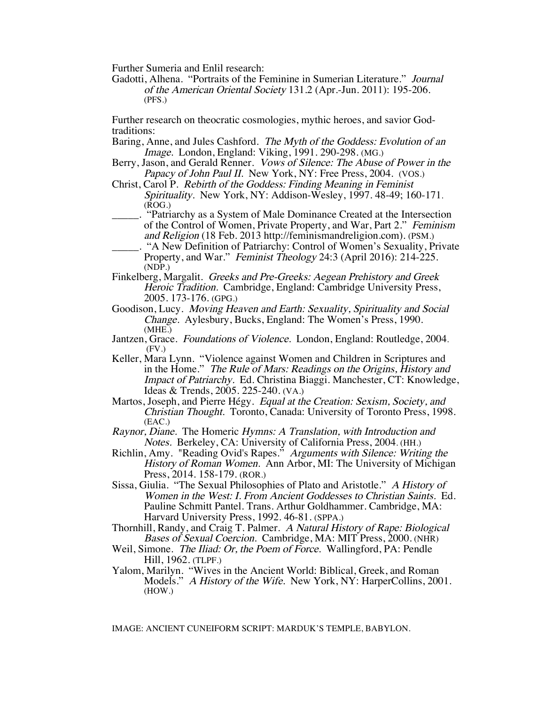Further Sumeria and Enlil research:

Gadotti, Alhena. "Portraits of the Feminine in Sumerian Literature." Journal of the American Oriental Society 131.2 (Apr.-Jun. 2011): 195-206. (PFS.)

Further research on theocratic cosmologies, mythic heroes, and savior Godtraditions:

- Baring, Anne, and Jules Cashford. The Myth of the Goddess: Evolution of an Image. London, England: Viking, 1991. 290-298. (MG.)
- Berry, Jason, and Gerald Renner. Vows of Silence: The Abuse of Power in the Papacy of John Paul II. New York, NY: Free Press, 2004. (VOS.)
- Christ, Carol P. Rebirth of the Goddess: Finding Meaning in Feminist Spirituality. New York, NY: Addison-Wesley, 1997. 48-49; 160-171.  $(ROG.)$ 
	- \_\_\_\_\_. "Patriarchy as a System of Male Dominance Created at the Intersection of the Control of Women, Private Property, and War, Part 2." Feminism and Religion (18 Feb. 2013 http://feminismandreligion.com). (PSM.)
- \_\_\_\_\_. "A New Definition of Patriarchy: Control of Women's Sexuality, Private Property, and War." *Feminist Theology* 24:3 (April 2016): 214-225. (NDP.)
- Finkelberg, Margalit. Greeks and Pre-Greeks: Aegean Prehistory and Greek Heroic Tradition. Cambridge, England: Cambridge University Press, 2005. 173-176. (GPG.)
- Goodison, Lucy. Moving Heaven and Earth: Sexuality, Spirituality and Social Change. Aylesbury, Bucks, England: The Women's Press, 1990. (MHE.)
- Jantzen, Grace. Foundations of Violence. London, England: Routledge, 2004. (FV.)
- Keller, Mara Lynn. "Violence against Women and Children in Scriptures and in the Home." The Rule of Mars: Readings on the Origins, History and Impact of Patriarchy. Ed. Christina Biaggi. Manchester, CT: Knowledge, Ideas & Trends, 2005. 225-240. (VA.)
- Martos, Joseph, and Pierre Hégy. Equal at the Creation: Sexism, Society, and Christian Thought. Toronto, Canada: University of Toronto Press, 1998. (EAC.)
- Raynor, Diane. The Homeric Hymns: A Translation, with Introduction and Notes. Berkeley, CA: University of California Press, 2004. (HH.)
- Richlin, Amy. "Reading Ovid's Rapes." Arguments with Silence: Writing the History of Roman Women. Ann Arbor, MI: The University of Michigan Press, 2014. 158-179. (ROR.)
- Sissa, Giulia. "The Sexual Philosophies of Plato and Aristotle." A History of Women in the West: I. From Ancient Goddesses to Christian Saints. Ed. Pauline Schmitt Pantel. Trans. Arthur Goldhammer. Cambridge, MA: Harvard University Press, 1992. 46-81. (SPPA.)
- Thornhill, Randy, and Craig T. Palmer. A Natural History of Rape: Biological Bases of Sexual Coercion. Cambridge, MA: MIT Press, 2000. (NHR)
- Weil, Simone. *The Iliad: Or, the Poem of Force.* Wallingford, PA: Pendle Hill, 1962. (TLPF.)
- Yalom, Marilyn. "Wives in the Ancient World: Biblical, Greek, and Roman Models." A History of the Wife. New York, NY: HarperCollins, 2001. (HOW.)

IMAGE: ANCIENT CUNEIFORM SCRIPT: MARDUK'S TEMPLE, BABYLON.